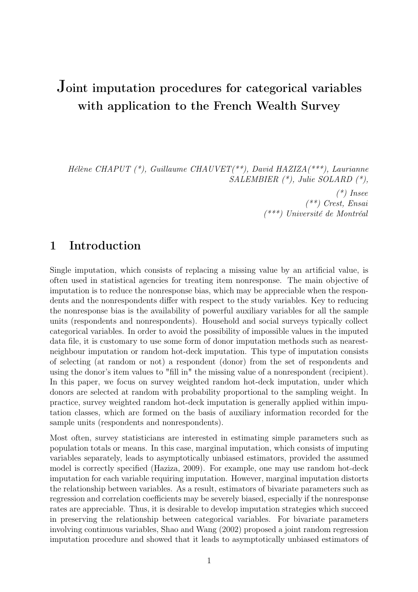# Joint imputation procedures for categorical variables with application to the French Wealth Survey

Hélène CHAPUT (\*), Guillaume CHAUVET(\*\*), David HAZIZA(\*\*\*), Laurianne SALEMBIER (\*), Julie SOLARD (\*),

> $(*)$  Insee  $(**)$  Crest, Ensai (\*\*\*) Université de Montréal

## 1 Introduction

Single imputation, which consists of replacing a missing value by an artificial value, is often used in statistical agencies for treating item nonresponse. The main objective of imputation is to reduce the nonresponse bias, which may be appreciable when the respondents and the nonrespondents differ with respect to the study variables. Key to reducing the nonresponse bias is the availability of powerful auxiliary variables for all the sample units (respondents and nonrespondents). Household and social surveys typically collect categorical variables. In order to avoid the possibility of impossible values in the imputed data file, it is customary to use some form of donor imputation methods such as nearestneighbour imputation or random hot-deck imputation. This type of imputation consists of selecting (at random or not) a respondent (donor) from the set of respondents and using the donor's item values to "fill in" the missing value of a nonrespondent (recipient). In this paper, we focus on survey weighted random hot-deck imputation, under which donors are selected at random with probability proportional to the sampling weight. In practice, survey weighted random hot-deck imputation is generally applied within imputation classes, which are formed on the basis of auxiliary information recorded for the sample units (respondents and nonrespondents).

Most often, survey statisticians are interested in estimating simple parameters such as population totals or means. In this case, marginal imputation, which consists of imputing variables separately, leads to asymptotically unbiased estimators, provided the assumed model is correctly specified (Haziza, 2009). For example, one may use random hot-deck imputation for each variable requiring imputation. However, marginal imputation distorts the relationship between variables. As a result, estimators of bivariate parameters such as regression and correlation coefficients may be severely biased, especially if the nonresponse rates are appreciable. Thus, it is desirable to develop imputation strategies which succeed in preserving the relationship between categorical variables. For bivariate parameters involving continuous variables, Shao and Wang (2002) proposed a joint random regression imputation procedure and showed that it leads to asymptotically unbiased estimators of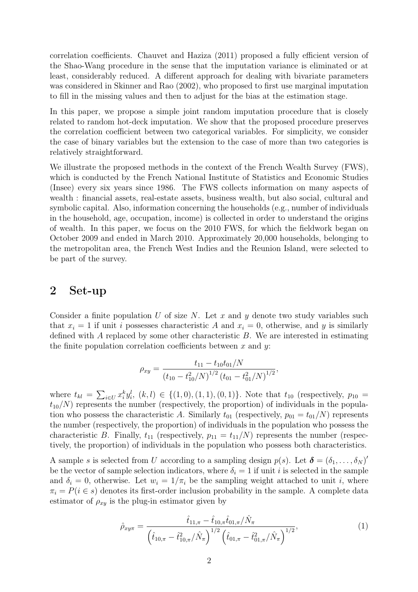correlation coefficients. Chauvet and Haziza (2011) proposed a fully efficient version of the Shao-Wang procedure in the sense that the imputation variance is eliminated or at least, considerably reduced. A different approach for dealing with bivariate parameters was considered in Skinner and Rao (2002), who proposed to first use marginal imputation to fill in the missing values and then to adjust for the bias at the estimation stage.

In this paper, we propose a simple joint random imputation procedure that is closely related to random hot-deck imputation. We show that the proposed procedure preserves the correlation coefficient between two categorical variables. For simplicity, we consider the case of binary variables but the extension to the case of more than two categories is relatively straightforward.

We illustrate the proposed methods in the context of the French Wealth Survey (FWS), which is conducted by the French National Institute of Statistics and Economic Studies (Insee) every six years since 1986. The FWS collects information on many aspects of wealth : financial assets, real-estate assets, business wealth, but also social, cultural and symbolic capital. Also, information concerning the households (e.g., number of individuals in the household, age, occupation, income) is collected in order to understand the origins of wealth. In this paper, we focus on the 2010 FWS, for which the fieldwork began on October 2009 and ended in March 2010. Approximately 20,000 households, belonging to the metropolitan area, the French West Indies and the Reunion Island, were selected to be part of the survey.

#### 2 Set-up

Consider a finite population U of size N. Let x and y denote two study variables such that  $x_i = 1$  if unit i possesses characteristic A and  $x_i = 0$ , otherwise, and y is similarly defined with A replaced by some other characteristic B. We are interested in estimating the finite population correlation coefficients between x and y:

$$
\rho_{xy} = \frac{t_{11} - t_{10}t_{01}/N}{(t_{10} - t_{10}^2/N)^{1/2} (t_{01} - t_{01}^2/N)^{1/2}},
$$

where  $t_{kl} =$  $\overline{ }$  $i \in U} x_i^k y_i^l, (k, l) \in \{(1, 0), (1, 1), (0, 1)\}.$  Note that  $t_{10}$  (respectively,  $p_{10} =$  $t_{10}/N$ ) represents the number (respectively, the proportion) of individuals in the population who possess the characteristic A. Similarly  $t_{01}$  (respectively,  $p_{01} = t_{01}/N$ ) represents the number (respectively, the proportion) of individuals in the population who possess the characteristic B. Finally,  $t_{11}$  (respectively,  $p_{11} = t_{11}/N$ ) represents the number (respectively, the proportion) of individuals in the population who possess both characteristics.

A sample s is selected from U according to a sampling design  $p(s)$ . Let  $\boldsymbol{\delta} = (\delta_1, \ldots, \delta_N)'$ be the vector of sample selection indicators, where  $\delta_i = 1$  if unit i is selected in the sample and  $\delta_i = 0$ , otherwise. Let  $w_i = 1/\pi_i$  be the sampling weight attached to unit i, where  $\pi_i = P(i \in s)$  denotes its first-order inclusion probability in the sample. A complete data estimator of  $\rho_{xy}$  is the plug-in estimator given by

$$
\hat{\rho}_{xy\pi} = \frac{\hat{t}_{11,\pi} - \hat{t}_{10,\pi}\hat{t}_{01,\pi}/\hat{N}_{\pi}}{\left(\hat{t}_{10,\pi} - \hat{t}_{10,\pi}^2/\hat{N}_{\pi}\right)^{1/2} \left(\hat{t}_{01,\pi} - \hat{t}_{01,\pi}^2/\hat{N}_{\pi}\right)^{1/2}},
$$
\n(1)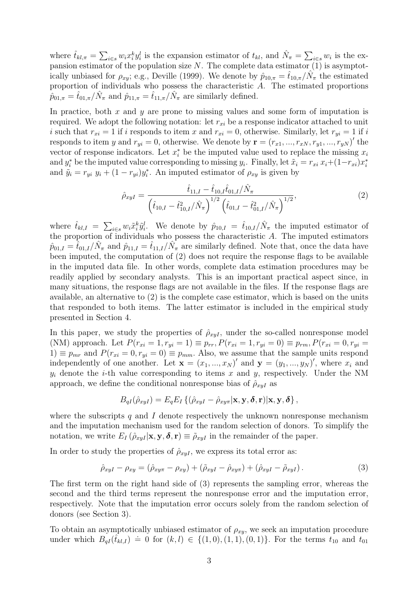where  $\hat{t}_{kl,\pi} = \sum$  $i \in \mathcal{S}} w_i x_i^k y_i^l$  is the expansion estimator of  $t_{kl}$ , and  $\hat{N}_{\pi} =$  $\overline{ }$  $_{i\in s}w_i$  is the expansion estimator of the population size  $N$ . The complete data estimator  $(1)$  is asymptotically unbiased for  $\rho_{xy}$ ; e.g., Deville (1999). We denote by  $\hat{p}_{10,\pi} = \hat{t}_{10,\pi}/\hat{N}_{\pi}$  the estimated proportion of individuals who possess the characteristic A. The estimated proportions  $\hat{p}_{01,\pi} = \hat{t}_{01,\pi}/\hat{N}_{\pi}$  and  $\hat{p}_{11,\pi} = \hat{t}_{11,\pi}/\hat{N}_{\pi}$  are similarly defined.

In practice, both  $x$  and  $y$  are prone to missing values and some form of imputation is required. We adopt the following notation: let  $r_{xi}$  be a response indicator attached to unit i such that  $r_{xi} = 1$  if i responds to item x and  $r_{xi} = 0$ , otherwise. Similarly, let  $r_{yi} = 1$  if i responds to item y and  $r_{yi} = 0$ , otherwise. We denote by  $\mathbf{r} = (r_{x1}, ..., r_{xN}, r_{y1}, ..., r_{yN})'$  the vector of response indicators. Let  $x_i^*$  be the imputed value used to replace the missing  $x_i$ and  $y_i^*$  be the imputed value corresponding to missing  $y_i$ . Finally, let  $\tilde{x}_i = r_{xi} x_i + (1 - r_{xi}) x_i^*$ and  $\tilde{y}_i = r_{yi} y_i + (1 - r_{yi})y_i^*$ . An imputed estimator of  $\rho_{xy}$  is given by

$$
\hat{\rho}_{xyI} = \frac{\hat{t}_{11,I} - \hat{t}_{10,I}\hat{t}_{01,I}/\hat{N}_{\pi}}{\left(\hat{t}_{10,I} - \hat{t}_{10,I}^2/\hat{N}_{\pi}\right)^{1/2} \left(\hat{t}_{01,I} - \hat{t}_{01,I}^2/\hat{N}_{\pi}\right)^{1/2}},\tag{2}
$$

where  $\hat{t}_{kl,I} = \sum$  $\hat{u}_{i\in s} w_i \tilde{x}_i^k \tilde{y}_i^l$ . We denote by  $\hat{p}_{10,I} = \hat{t}_{10,I}/\hat{N}_{\pi}$  the imputed estimator of the proportion of individuals who possess the characteristic A. The imputed estimators  $\hat{p}_{01,I} = \hat{t}_{01,I}/\hat{N}_{\pi}$  and  $\hat{p}_{11,I} = \hat{t}_{11,I}/\hat{N}_{\pi}$  are similarly defined. Note that, once the data have been imputed, the computation of (2) does not require the response flags to be available in the imputed data file. In other words, complete data estimation procedures may be readily applied by secondary analysts. This is an important practical aspect since, in many situations, the response flags are not available in the files. If the response flags are available, an alternative to (2) is the complete case estimator, which is based on the units that responded to both items. The latter estimator is included in the empirical study presented in Section 4.

In this paper, we study the properties of  $\hat{\rho}_{xyI}$ , under the so-called nonresponse model (NM) approach. Let  $P(r_{xi} = 1, r_{yi} = 1) \equiv p_{rr}, P(r_{xi} = 1, r_{yi} = 0) \equiv p_{rm}, P(r_{xi} = 0, r_{yi} = 1)$ 1)  $\equiv p_{mr}$  and  $P(r_{xi} = 0, r_{yi} = 0) \equiv p_{mm}$ . Also, we assume that the sample units respond independently of one another. Let  $\mathbf{x} = (x_1, ..., x_N)'$  and  $\mathbf{y} = (y_1, ..., y_N)'$ , where  $x_i$  and  $y_i$  denote the *i*-th value corresponding to items x and y, respectively. Under the NM approach, we define the conditional nonresponse bias of  $\hat{\rho}_{x\bar{y}}$  as

$$
B_{qI}(\hat{\rho}_{xyI}) = E_q E_I \left\{ (\hat{\rho}_{xyI} - \hat{\rho}_{xy\pi} | \mathbf{x}, \mathbf{y}, \boldsymbol{\delta}, \mathbf{r}) | \mathbf{x}, \mathbf{y}, \boldsymbol{\delta} \right\},
$$

where the subscripts q and I denote respectively the unknown nonresponse mechanism and the imputation mechanism used for the random selection of donors. To simplify the notation, we write  $E_I(\hat{\rho}_{xyI}|\mathbf{x}, \mathbf{y}, \boldsymbol{\delta}, \mathbf{r}) \equiv \tilde{\rho}_{xyI}$  in the remainder of the paper.

In order to study the properties of  $\hat{\rho}_{xyI}$ , we express its total error as:

$$
\hat{\rho}_{xyI} - \rho_{xy} = (\hat{\rho}_{xy\pi} - \rho_{xy}) + (\tilde{\rho}_{xyI} - \hat{\rho}_{xy\pi}) + (\hat{\rho}_{xyI} - \tilde{\rho}_{xyI}). \tag{3}
$$

The first term on the right hand side of (3) represents the sampling error, whereas the second and the third terms represent the nonresponse error and the imputation error, respectively. Note that the imputation error occurs solely from the random selection of donors (see Section 3).

To obtain an asymptotically unbiased estimator of  $\rho_{xy}$ , we seek an imputation procedure under which  $B_{qI}(\hat{t}_{kl,I}) = 0$  for  $(k, l) \in \{(1, 0), (1, 1), (0, 1)\}$ . For the terms  $t_{10}$  and  $t_{01}$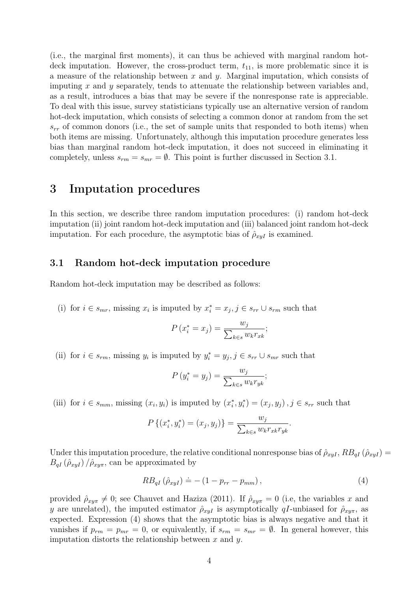(i.e., the marginal first moments), it can thus be achieved with marginal random hotdeck imputation. However, the cross-product term,  $t_{11}$ , is more problematic since it is a measure of the relationship between x and y. Marginal imputation, which consists of imputing x and y separately, tends to attenuate the relationship between variables and, as a result, introduces a bias that may be severe if the nonresponse rate is appreciable. To deal with this issue, survey statisticians typically use an alternative version of random hot-deck imputation, which consists of selecting a common donor at random from the set  $s_{rr}$  of common donors (i.e., the set of sample units that responded to both items) when both items are missing. Unfortunately, although this imputation procedure generates less bias than marginal random hot-deck imputation, it does not succeed in eliminating it completely, unless  $s_{rm} = s_{mr} = \emptyset$ . This point is further discussed in Section 3.1.

## 3 Imputation procedures

In this section, we describe three random imputation procedures: (i) random hot-deck imputation (ii) joint random hot-deck imputation and (iii) balanced joint random hot-deck imputation. For each procedure, the asymptotic bias of  $\hat{\rho}_{xyI}$  is examined.

#### 3.1 Random hot-deck imputation procedure

Random hot-deck imputation may be described as follows:

(i) for  $i \in s_{mr}$ , missing  $x_i$  is imputed by  $x_i^* = x_j, j \in s_{rr} \cup s_{rm}$  such that

$$
P(x_i^* = x_j) = \frac{w_j}{\sum_{k \in s} w_k r_{xk}};
$$

(ii) for  $i \in s_{rm}$ , missing  $y_i$  is imputed by  $y_i^* = y_j, j \in s_{rr} \cup s_{mr}$  such that

$$
P(y_i^* = y_j) = \frac{w_j}{\sum_{k \in s} w_k r_{yk}};
$$

(iii) for  $i \in s_{mm}$ , missing  $(x_i, y_i)$  is imputed by  $(x_i^*, y_i^*) = (x_j, y_j)$ ,  $j \in s_{rr}$  such that

$$
P\{(x_i^*, y_i^*) = (x_j, y_j)\} = \frac{w_j}{\sum_{k \in s} w_k r_{xk} r_{yk}}.
$$

Under this imputation procedure, the relative conditional nonresponse bias of  $\hat{\rho}_{xyI}$ ,  $RB_{qI}(\hat{\rho}_{xyI}) =$  $B_{qI}(\hat{\rho}_{xyI})/\hat{\rho}_{xy\pi}$ , can be approximated by

$$
RB_{qI}(\hat{\rho}_{xyI}) \doteq - (1 - p_{rr} - p_{mm}), \qquad (4)
$$

provided  $\rho_{xy\pi} \neq 0$ ; see Chauvet and Haziza (2011). If  $\rho_{xy\pi} = 0$  (i.e, the variables x and y are unrelated), the imputed estimator  $\hat{\rho}_{xyI}$  is asymptotically qI-unbiased for  $\hat{\rho}_{xy\pi}$ , as expected. Expression (4) shows that the asymptotic bias is always negative and that it vanishes if  $p_{rm} = p_{mr} = 0$ , or equivalently, if  $s_{rm} = s_{mr} = \emptyset$ . In general however, this imputation distorts the relationship between  $x$  and  $y$ .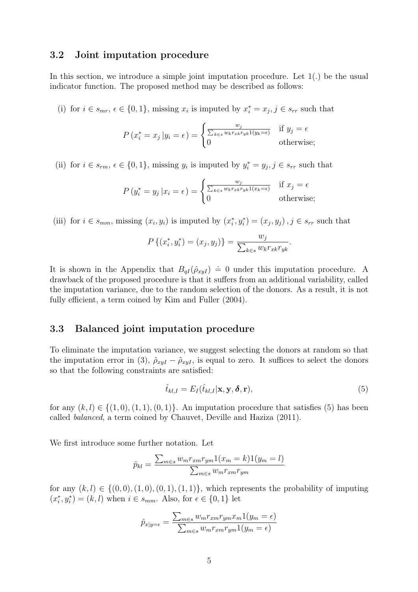#### 3.2 Joint imputation procedure

In this section, we introduce a simple joint imputation procedure. Let 1(.) be the usual indicator function. The proposed method may be described as follows:

(i) for  $i \in s_{mr}$ ,  $\epsilon \in \{0, 1\}$ , missing  $x_i$  is imputed by  $x_i^* = x_j$ ,  $j \in s_{rr}$  such that

$$
P(x_i^* = x_j | y_i = \epsilon) = \begin{cases} \frac{w_j}{\sum_{k \in s} w_k r_{xk} r_{yk} 1(y_k = \epsilon)} & \text{if } y_j = \epsilon\\ 0 & \text{otherwise}; \end{cases}
$$

(ii) for  $i \in s_{rm}$ ,  $\epsilon \in \{0,1\}$ , missing  $y_i$  is imputed by  $y_i^* = y_j$ ,  $j \in s_{rr}$  such that

$$
P(y_i^* = y_j | x_i = \epsilon) = \begin{cases} \frac{w_j}{\sum_{k \in s} w_k r_{xk} r_{yk} 1(x_k = \epsilon)} & \text{if } x_j = \epsilon\\ 0 & \text{otherwise}; \end{cases}
$$

(iii) for  $i \in s_{mm}$ , missing  $(x_i, y_i)$  is imputed by  $(x_i^*, y_i^*) = (x_j, y_j)$ ,  $j \in s_{rr}$  such that

$$
P\{(x_i^*, y_i^*) = (x_j, y_j)\} = \frac{w_j}{\sum_{k \in s} w_k r_{k} r_{yk}}.
$$

It is shown in the Appendix that  $B_{qI}(\hat{\rho}_{xyI}) = 0$  under this imputation procedure. A drawback of the proposed procedure is that it suffers from an additional variability, called the imputation variance, due to the random selection of the donors. As a result, it is not fully efficient, a term coined by Kim and Fuller  $(2004)$ .

#### 3.3 Balanced joint imputation procedure

To eliminate the imputation variance, we suggest selecting the donors at random so that the imputation error in (3),  $\hat{\rho}_{xyI} - \tilde{\rho}_{xyI}$ , is equal to zero. It suffices to select the donors so that the following constraints are satisfied:

$$
\hat{t}_{kl,I} = E_I(\hat{t}_{kl,I}|\mathbf{x}, \mathbf{y}, \boldsymbol{\delta}, \mathbf{r}),\tag{5}
$$

for any  $(k, l) \in \{(1, 0), (1, 1), (0, 1)\}.$  An imputation procedure that satisfies (5) has been called balanced, a term coined by Chauvet, Deville and Haziza (2011).

We first introduce some further notation. Let

$$
\hat{p}_{kl} = \frac{\sum_{m \in s} w_m r_{xm} r_{ym} 1(x_m = k) 1(y_m = l)}{\sum_{m \in s} w_m r_{xm} r_{ym}}
$$

for any  $(k, l) \in \{(0, 0), (1, 0), (0, 1), (1, 1)\}$ , which represents the probability of imputing  $(x_i^*, y_i^*) = (k, l)$  when  $i \in s_{mm}$ . Also, for  $\epsilon \in \{0, 1\}$  let

$$
\hat{p}_{x|y=\epsilon} = \frac{\sum_{m \in s} w_m r_{xm} r_{ym} x_m \mathbb{1}(y_m = \epsilon)}{\sum_{m \in s} w_m r_{xm} r_{ym} \mathbb{1}(y_m = \epsilon)}
$$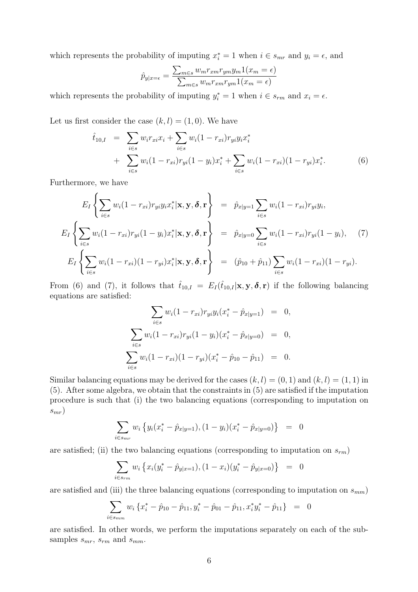which represents the probability of imputing  $x_i^* = 1$  when  $i \in s_{mr}$  and  $y_i = \epsilon$ , and

$$
\hat{p}_{y|x=\epsilon} = \frac{\sum_{m \in s} w_m r_{xm} r_{ym} y_m \mathbb{1}(x_m = \epsilon)}{\sum_{m \in s} w_m r_{xm} r_{ym} \mathbb{1}(x_m = \epsilon)}
$$

which represents the probability of imputing  $y_i^* = 1$  when  $i \in s_{rm}$  and  $x_i = \epsilon$ .

Let us first consider the case  $(k, l) = (1, 0)$ . We have

$$
\hat{t}_{10,I} = \sum_{i \in s} w_i r_{xi} x_i + \sum_{i \in s} w_i (1 - r_{xi}) r_{yi} y_i x_i^* \n+ \sum_{i \in s} w_i (1 - r_{xi}) r_{yi} (1 - y_i) x_i^* + \sum_{i \in s} w_i (1 - r_{xi}) (1 - r_{yi}) x_i^*.
$$
\n(6)

Furthermore, we have

$$
E_I\left\{\sum_{i\in s} w_i(1-r_{xi})r_{yi}y_ix_i^*|\mathbf{x},\mathbf{y},\boldsymbol{\delta},\mathbf{r}\right\} = \hat{p}_{x|y=1}\sum_{i\in s} w_i(1-r_{xi})r_{yi}y_i,
$$
  
\n
$$
E_I\left\{\sum_{i\in s} w_i(1-r_{xi})r_{yi}(1-y_i)x_i^*|\mathbf{x},\mathbf{y},\boldsymbol{\delta},\mathbf{r}\right\} = \hat{p}_{x|y=0}\sum_{i\in s} w_i(1-r_{xi})r_{yi}(1-y_i), \quad (7)
$$
  
\n
$$
E_I\left\{\sum_{i\in s} w_i(1-r_{xi})(1-r_{yi})x_i^*|\mathbf{x},\mathbf{y},\boldsymbol{\delta},\mathbf{r}\right\} = (\hat{p}_{10}+\hat{p}_{11})\sum_{i\in s} w_i(1-r_{xi})(1-r_{yi}).
$$

From (6) and (7), it follows that  $\hat{t}_{10,I} = E_I(\hat{t}_{10,I}|\mathbf{x}, \mathbf{y}, \delta, \mathbf{r})$  if the following balancing equations are satisfied:

$$
\sum_{i \in s} w_i (1 - r_{xi}) r_{yi} y_i (x_i^* - \hat{p}_{x|y=1}) = 0,
$$
  

$$
\sum_{i \in s} w_i (1 - r_{xi}) r_{yi} (1 - y_i) (x_i^* - \hat{p}_{x|y=0}) = 0,
$$
  

$$
\sum_{i \in s} w_i (1 - r_{xi}) (1 - r_{yi}) (x_i^* - \hat{p}_{10} - \hat{p}_{11}) = 0.
$$

Similar balancing equations may be derived for the cases  $(k, l) = (0, 1)$  and  $(k, l) = (1, 1)$  in (5). After some algebra, we obtain that the constraints in (5) are satisfied if the imputation procedure is such that (i) the two balancing equations (corresponding to imputation on  $s_{mr}$ 

$$
\sum_{i \in s_{mr}} w_i \left\{ y_i (x_i^* - \hat{p}_{x|y=1}), (1 - y_i)(x_i^* - \hat{p}_{x|y=0}) \right\} = 0
$$

are satisfied; (ii) the two balancing equations (corresponding to imputation on  $s_{rm}$ )

$$
\sum_{i \in s_{rm}} w_i \left\{ x_i (y_i^* - \hat{p}_{y|x=1}), (1 - x_i)(y_i^* - \hat{p}_{y|x=0}) \right\} = 0
$$

are satisfied and (iii) the three balancing equations (corresponding to imputation on  $s_{mm}$ )

$$
\sum_{i \in s_{mm}} w_i \left\{ x_i^* - \hat{p}_{10} - \hat{p}_{11}, y_i^* - \hat{p}_{01} - \hat{p}_{11}, x_i^* y_i^* - \hat{p}_{11} \right\} = 0
$$

are satisfied. In other words, we perform the imputations separately on each of the subsamples  $s_{mr}$ ,  $s_{rm}$  and  $s_{mm}$ .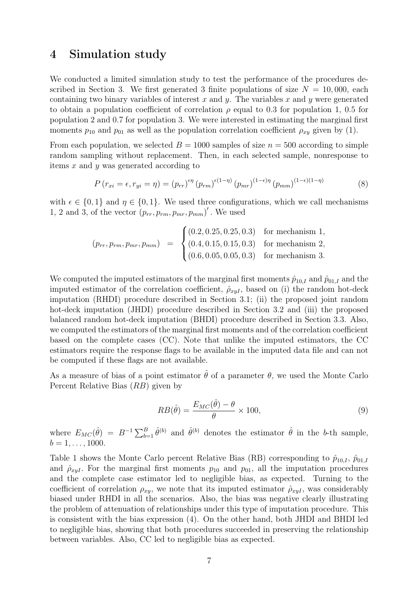### 4 Simulation study

We conducted a limited simulation study to test the performance of the procedures described in Section 3. We first generated 3 finite populations of size  $N = 10,000$ , each containing two binary variables of interest  $x$  and  $y$ . The variables  $x$  and  $y$  were generated to obtain a population coefficient of correlation  $\rho$  equal to 0.3 for population 1, 0.5 for population 2 and 0.7 for population 3. We were interested in estimating the marginal first moments  $p_{10}$  and  $p_{01}$  as well as the population correlation coefficient  $\rho_{xy}$  given by (1).

From each population, we selected  $B = 1000$  samples of size  $n = 500$  according to simple random sampling without replacement. Then, in each selected sample, nonresponse to items x and y was generated according to

$$
P(r_{xi} = \epsilon, r_{yi} = \eta) = (p_{rr})^{\epsilon \eta} (p_{rm})^{\epsilon (1-\eta)} (p_{mr})^{(1-\epsilon)\eta} (p_{mm})^{(1-\epsilon)(1-\eta)}
$$
(8)

with  $\epsilon \in \{0,1\}$  and  $\eta \in \{0,1\}$ . We used three configurations, which we call mechanisms 1, 2 and 3, of the vector  $(p_{rr}, p_{rm}, p_{mr}, p_{mm})'$ . We used

$$
(p_{rr}, p_{rm}, p_{mr}, p_{mm}) = \begin{cases} (0.2, 0.25, 0.25, 0.3) & \text{for mechanism 1,} \\ (0.4, 0.15, 0.15, 0.3) & \text{for mechanism 2,} \\ (0.6, 0.05, 0.05, 0.3) & \text{for mechanism 3.} \end{cases}
$$

We computed the imputed estimators of the marginal first moments  $\hat{p}_{10,I}$  and  $\hat{p}_{01,I}$  and the imputed estimator of the correlation coefficient,  $\hat{\rho}_{xyI}$ , based on (i) the random hot-deck imputation (RHDI) procedure described in Section 3.1; (ii) the proposed joint random hot-deck imputation (JHDI) procedure described in Section 3.2 and (iii) the proposed balanced random hot-deck imputation (BHDI) procedure described in Section 3.3. Also, we computed the estimators of the marginal first moments and of the correlation coefficient based on the complete cases (CC). Note that unlike the imputed estimators, the CC estimators require the response flags to be available in the imputed data file and can not be computed if these flags are not available.

As a measure of bias of a point estimator  $\hat{\theta}$  of a parameter  $\theta$ , we used the Monte Carlo Percent Relative Bias (RB) given by

$$
RB(\hat{\theta}) = \frac{E_{MC}(\hat{\theta}) - \theta}{\theta} \times 100,\tag{9}
$$

where  $E_{MC}(\hat{\theta}) = B^{-1} \sum_{b=1}^{B} \hat{\theta}^{(b)}$  and  $\hat{\theta}^{(b)}$  denotes the estimator  $\hat{\theta}$  in the b-th sample,  $b = 1, \ldots, 1000.$ 

Table 1 shows the Monte Carlo percent Relative Bias (RB) corresponding to  $\hat{p}_{10,I}$ ,  $\hat{p}_{01,I}$ and  $\rho_{xyI}$ . For the marginal first moments  $p_{10}$  and  $p_{01}$ , all the imputation procedures and the complete case estimator led to negligible bias, as expected. Turning to the coefficient of correlation  $\rho_{xy}$ , we note that its imputed estimator  $\hat{\rho}_{xyI}$ , was considerably biased under RHDI in all the scenarios. Also, the bias was negative clearly illustrating the problem of attenuation of relationships under this type of imputation procedure. This is consistent with the bias expression (4). On the other hand, both JHDI and BHDI led to negligible bias, showing that both procedures succeeded in preserving the relationship between variables. Also, CC led to negligible bias as expected.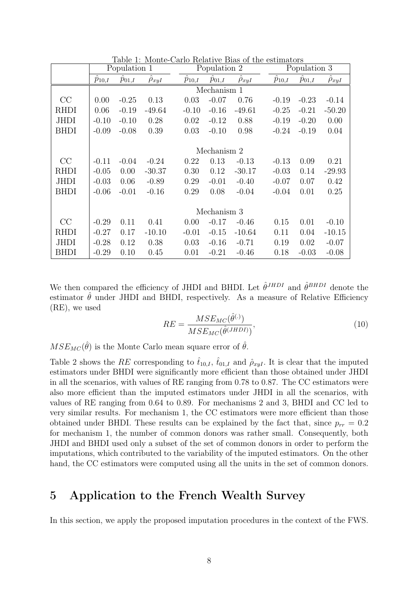|             | Population 1     |                       |              | Population 2 |                  |              | Population 3 |                        |              |  |  |
|-------------|------------------|-----------------------|--------------|--------------|------------------|--------------|--------------|------------------------|--------------|--|--|
|             | $\hat{p}_{10,I}$ | $\overline{p}_{01,I}$ | $\rho_{xyI}$ | $p_{10,I}$   | $\hat{p}_{01,I}$ | $\rho_{xyI}$ | $p_{10,I}$   | $\widetilde{p}_{01,I}$ | $\rho_{xyI}$ |  |  |
|             |                  |                       |              |              | Mechanism 1      |              |              |                        |              |  |  |
| CC          | 0.00             | $-0.25$               | 0.13         | 0.03         | $-0.07$          | 0.76         | $-0.19$      | $-0.23$                | $-0.14$      |  |  |
| <b>RHDI</b> | 0.06             | $-0.19$               | $-49.64$     | $-0.10$      | $-0.16$          | $-49.61$     | $-0.25$      | $-0.21$                | $-50.20$     |  |  |
| <b>JHDI</b> | $-0.10$          | $-0.10$               | 0.28         | 0.02         | $-0.12$          | 0.88         | $-0.19$      | $-0.20$                | 0.00         |  |  |
| <b>BHDI</b> | $-0.09$          | $-0.08$               | 0.39         | 0.03         | $-0.10$          | 0.98         | $-0.24$      | $-0.19$                | 0.04         |  |  |
|             |                  |                       |              |              |                  |              |              |                        |              |  |  |
|             |                  | Mechanism 2           |              |              |                  |              |              |                        |              |  |  |
| CC          | $-0.11$          | $-0.04$               | $-0.24$      | 0.22         | 0.13             | $-0.13$      | $-0.13$      | 0.09                   | 0.21         |  |  |
| <b>RHDI</b> | $-0.05$          | 0.00                  | $-30.37$     | 0.30         | 0.12             | $-30.17$     | $-0.03$      | 0.14                   | $-29.93$     |  |  |
| <b>JHDI</b> | $-0.03$          | 0.06                  | $-0.89$      | 0.29         | $-0.01$          | $-0.40$      | $-0.07$      | 0.07                   | 0.42         |  |  |
| <b>BHDI</b> | $-0.06$          | $-0.01$               | $-0.16$      | 0.29         | 0.08             | $-0.04$      | $-0.04$      | 0.01                   | 0.25         |  |  |
|             |                  |                       |              |              |                  |              |              |                        |              |  |  |
|             |                  | Mechanism 3           |              |              |                  |              |              |                        |              |  |  |
| CC          | $-0.29$          | 0.11                  | 0.41         | 0.00         | $-0.17$          | $-0.46$      | 0.15         | 0.01                   | $-0.10$      |  |  |
| <b>RHDI</b> | $-0.27$          | 0.17                  | $-10.10$     | $-0.01$      | $-0.15$          | $-10.64$     | 0.11         | 0.04                   | $-10.15$     |  |  |
| <b>JHDI</b> | $-0.28$          | 0.12                  | 0.38         | 0.03         | $-0.16$          | $-0.71$      | 0.19         | 0.02                   | $-0.07$      |  |  |
| <b>BHDI</b> | $-0.29$          | 0.10                  | 0.45         | 0.01         | $-0.21$          | $-0.46$      | 0.18         | $-0.03$                | $-0.08$      |  |  |

Table 1: Monte-Carlo Relative Bias of the estimators

We then compared the efficiency of JHDI and BHDI. Let  $\hat{\theta}^{JHDI}$  and  $\hat{\theta}^{BHDI}$  denote the estimator  $\hat{\theta}$  under JHDI and BHDI, respectively. As a measure of Relative Efficiency (RE), we used

$$
RE = \frac{MSE_{MC}(\hat{\theta}^{(.)})}{MSE_{MC}(\hat{\theta}^{(JHDI)})},\tag{10}
$$

 $MSE_{MC}(\hat{\theta})$  is the Monte Carlo mean square error of  $\hat{\theta}$ .

Table 2 shows the RE corresponding to  $\hat{t}_{10,I}$ ,  $\hat{t}_{01,I}$  and  $\hat{\rho}_{xyI}$ . It is clear that the imputed estimators under BHDI were significantly more efficient than those obtained under JHDI in all the scenarios, with values of RE ranging from 0.78 to 0.87. The CC estimators were also more efficient than the imputed estimators under JHDI in all the scenarios, with values of RE ranging from 0.64 to 0.89. For mechanisms 2 and 3, BHDI and CC led to very similar results. For mechanism 1, the CC estimators were more efficient than those obtained under BHDI. These results can be explained by the fact that, since  $p_{rr} = 0.2$ for mechanism 1, the number of common donors was rather small. Consequently, both JHDI and BHDI used only a subset of the set of common donors in order to perform the imputations, which contributed to the variability of the imputed estimators. On the other hand, the CC estimators were computed using all the units in the set of common donors.

#### 5 Application to the French Wealth Survey

In this section, we apply the proposed imputation procedures in the context of the FWS.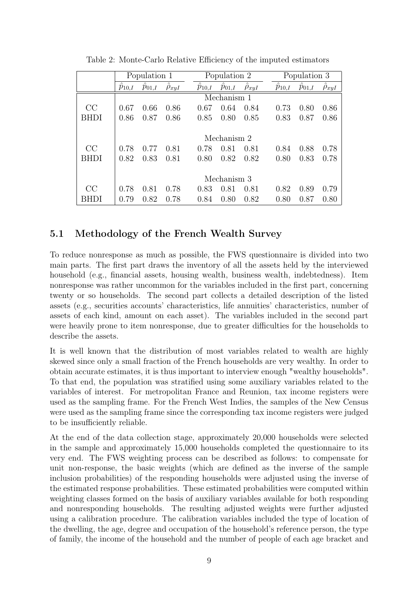|      |             | Population 1 |              |  | Population 2 |             |              | Population 3 |            |                    |              |
|------|-------------|--------------|--------------|--|--------------|-------------|--------------|--------------|------------|--------------------|--------------|
|      | $p_{10,I}$  | $p_{01,I}$   | $\rho_{xyI}$ |  | $p_{10,I}$   | $p_{01,I}$  | $\rho_{xyI}$ |              | $p_{10,I}$ | $\tilde{p}_{01,I}$ | $\rho_{xyI}$ |
|      |             |              |              |  |              | Mechanism 1 |              |              |            |                    |              |
| CC   | 0.67        | 0.66         | 0.86         |  | 0.67         | 0.64        | 0.84         |              | 0.73       | 0.80               | 0.86         |
| BHDI | 0.86        | 0.87         | 0.86         |  | 0.85         | 0.80        | 0.85         |              | 0.83       | 0.87               | 0.86         |
|      |             |              |              |  |              |             |              |              |            |                    |              |
|      | Mechanism 2 |              |              |  |              |             |              |              |            |                    |              |
| CC   | 0.78        | 0.77         | 0.81         |  | 0.78         | 0.81        | 0.81         |              | 0.84       | 0.88               | 0.78         |
| BHDI | 0.82        | 0.83         | 0.81         |  | 0.80         | 0.82        | 0.82         |              | 0.80       | 0.83               | 0.78         |
|      |             |              |              |  |              |             |              |              |            |                    |              |
|      | Mechanism 3 |              |              |  |              |             |              |              |            |                    |              |
| CC   | 0.78        | 0.81         | 0.78         |  | 0.83         | 0.81        | 0.81         |              | 0.82       | 0.89               | 0.79         |
| RHDI | 0.79        | 0.82         | 0.78         |  | 0.84         | 0.80        | 0.82         |              | 0.80       | 0.87               | 0.80         |

Table 2: Monte-Carlo Relative Efficiency of the imputed estimators

#### 5.1 Methodology of the French Wealth Survey

To reduce nonresponse as much as possible, the FWS questionnaire is divided into two main parts. The first part draws the inventory of all the assets held by the interviewed household (e.g., financial assets, housing wealth, business wealth, indebtedness). Item nonresponse was rather uncommon for the variables included in the first part, concerning twenty or so households. The second part collects a detailed description of the listed assets (e.g., securities accounts' characteristics, life annuities' characteristics, number of assets of each kind, amount on each asset). The variables included in the second part were heavily prone to item nonresponse, due to greater difficulties for the households to describe the assets.

It is well known that the distribution of most variables related to wealth are highly skewed since only a small fraction of the French households are very wealthy. In order to obtain accurate estimates, it is thus important to interview enough "wealthy households". To that end, the population was stratified using some auxiliary variables related to the variables of interest. For metropolitan France and Reunion, tax income registers were used as the sampling frame. For the French West Indies, the samples of the New Census were used as the sampling frame since the corresponding tax income registers were judged to be insufficiently reliable.

At the end of the data collection stage, approximately 20,000 households were selected in the sample and approximately 15,000 households completed the questionnaire to its very end. The FWS weighting process can be described as follows: to compensate for unit non-response, the basic weights (which are defined as the inverse of the sample inclusion probabilities) of the responding households were adjusted using the inverse of the estimated response probabilities. These estimated probabilities were computed within weighting classes formed on the basis of auxiliary variables available for both responding and nonresponding households. The resulting adjusted weights were further adjusted using a calibration procedure. The calibration variables included the type of location of the dwelling, the age, degree and occupation of the household's reference person, the type of family, the income of the household and the number of people of each age bracket and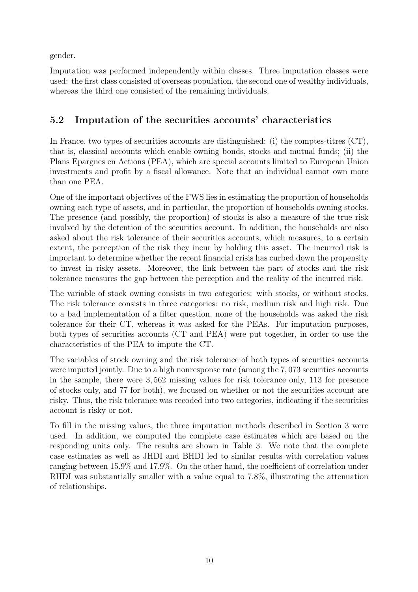gender.

Imputation was performed independently within classes. Three imputation classes were used: the first class consisted of overseas population, the second one of wealthy individuals, whereas the third one consisted of the remaining individuals.

## 5.2 Imputation of the securities accounts' characteristics

In France, two types of securities accounts are distinguished: (i) the comptes-titres (CT), that is, classical accounts which enable owning bonds, stocks and mutual funds; (ii) the Plans Epargnes en Actions (PEA), which are special accounts limited to European Union investments and profit by a fiscal allowance. Note that an individual cannot own more than one PEA.

One of the important objectives of the FWS lies in estimating the proportion of households owning each type of assets, and in particular, the proportion of households owning stocks. The presence (and possibly, the proportion) of stocks is also a measure of the true risk involved by the detention of the securities account. In addition, the households are also asked about the risk tolerance of their securities accounts, which measures, to a certain extent, the perception of the risk they incur by holding this asset. The incurred risk is important to determine whether the recent financial crisis has curbed down the propensity to invest in risky assets. Moreover, the link between the part of stocks and the risk tolerance measures the gap between the perception and the reality of the incurred risk.

The variable of stock owning consists in two categories: with stocks, or without stocks. The risk tolerance consists in three categories: no risk, medium risk and high risk. Due to a bad implementation of a filter question, none of the households was asked the risk tolerance for their CT, whereas it was asked for the PEAs. For imputation purposes, both types of securities accounts (CT and PEA) were put together, in order to use the characteristics of the PEA to impute the CT.

The variables of stock owning and the risk tolerance of both types of securities accounts were imputed jointly. Due to a high nonresponse rate (among the 7, 073 securities accounts in the sample, there were 3, 562 missing values for risk tolerance only, 113 for presence of stocks only, and 77 for both), we focused on whether or not the securities account are risky. Thus, the risk tolerance was recoded into two categories, indicating if the securities account is risky or not.

To fill in the missing values, the three imputation methods described in Section 3 were used. In addition, we computed the complete case estimates which are based on the responding units only. The results are shown in Table 3. We note that the complete case estimates as well as JHDI and BHDI led to similar results with correlation values ranging between 15.9% and 17.9%. On the other hand, the coefficient of correlation under RHDI was substantially smaller with a value equal to 7.8%, illustrating the attenuation of relationships.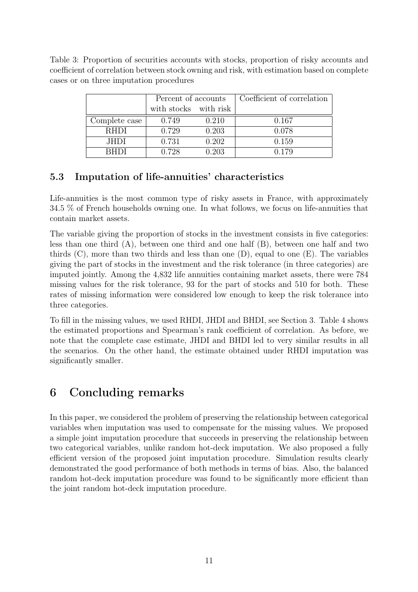Table 3: Proportion of securities accounts with stocks, proportion of risky accounts and coefficient of correlation between stock owning and risk, with estimation based on complete cases or on three imputation procedures

|               | Percent of accounts   |       | Coefficient of correlation |
|---------------|-----------------------|-------|----------------------------|
|               | with stocks with risk |       |                            |
| Complete case | 0.749                 | 0.210 | 0.167                      |
| <b>RHDI</b>   | 0.729                 | 0.203 | 0.078                      |
| JHDI.         | 0.731                 | 0.202 | 0.159                      |
| RHDI.         | 0.728                 | 0.203 | 0.179                      |

### 5.3 Imputation of life-annuities' characteristics

Life-annuities is the most common type of risky assets in France, with approximately 34.5 % of French households owning one. In what follows, we focus on life-annuities that contain market assets.

The variable giving the proportion of stocks in the investment consists in five categories: less than one third (A), between one third and one half (B), between one half and two thirds  $(C)$ , more than two thirds and less than one  $(D)$ , equal to one  $(E)$ . The variables giving the part of stocks in the investment and the risk tolerance (in three categories) are imputed jointly. Among the 4,832 life annuities containing market assets, there were 784 missing values for the risk tolerance, 93 for the part of stocks and 510 for both. These rates of missing information were considered low enough to keep the risk tolerance into three categories.

To fill in the missing values, we used RHDI, JHDI and BHDI, see Section 3. Table 4 shows the estimated proportions and Spearman's rank coefficient of correlation. As before, we note that the complete case estimate, JHDI and BHDI led to very similar results in all the scenarios. On the other hand, the estimate obtained under RHDI imputation was significantly smaller.

## 6 Concluding remarks

In this paper, we considered the problem of preserving the relationship between categorical variables when imputation was used to compensate for the missing values. We proposed a simple joint imputation procedure that succeeds in preserving the relationship between two categorical variables, unlike random hot-deck imputation. We also proposed a fully efficient version of the proposed joint imputation procedure. Simulation results clearly demonstrated the good performance of both methods in terms of bias. Also, the balanced random hot-deck imputation procedure was found to be significantly more efficient than the joint random hot-deck imputation procedure.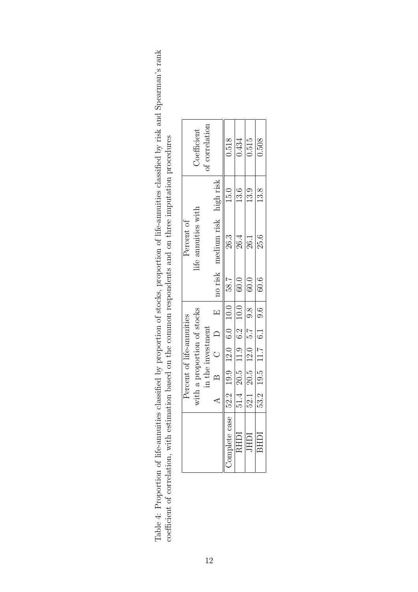| proportion of stocks proportion of life-appuities classified by risk and Spearman's rank<br>STATISTIC STATE TO THE STATE STATES. | n tho common romandante and on throe imputation procdures<br>- HOSPANIALITY CHINAIR DINA INDIA INTERNATIONAL IN THE PIRAMENT IN THE PIRAMENT OF THE PHONOGRAPH OF THE PHONOGRAPH OF THE PHONOGRAPH OF THE PHONOGRAPH OF THE PHONOGRAPH OF THE PHONOGRAPH OF THE PHONOGRAPH OF THE PHONOGRAP |
|----------------------------------------------------------------------------------------------------------------------------------|---------------------------------------------------------------------------------------------------------------------------------------------------------------------------------------------------------------------------------------------------------------------------------------------|
|                                                                                                                                  |                                                                                                                                                                                                                                                                                             |
|                                                                                                                                  |                                                                                                                                                                                                                                                                                             |
|                                                                                                                                  |                                                                                                                                                                                                                                                                                             |
|                                                                                                                                  |                                                                                                                                                                                                                                                                                             |
|                                                                                                                                  |                                                                                                                                                                                                                                                                                             |
|                                                                                                                                  |                                                                                                                                                                                                                                                                                             |
|                                                                                                                                  |                                                                                                                                                                                                                                                                                             |
|                                                                                                                                  |                                                                                                                                                                                                                                                                                             |
|                                                                                                                                  |                                                                                                                                                                                                                                                                                             |
| $\frac{2}{2}$                                                                                                                    |                                                                                                                                                                                                                                                                                             |
|                                                                                                                                  |                                                                                                                                                                                                                                                                                             |
|                                                                                                                                  |                                                                                                                                                                                                                                                                                             |
| -<br> <br> }<br> }                                                                                                               |                                                                                                                                                                                                                                                                                             |
|                                                                                                                                  |                                                                                                                                                                                                                                                                                             |
|                                                                                                                                  |                                                                                                                                                                                                                                                                                             |
| リー・ソー 2mg                                                                                                                        |                                                                                                                                                                                                                                                                                             |
|                                                                                                                                  |                                                                                                                                                                                                                                                                                             |
|                                                                                                                                  |                                                                                                                                                                                                                                                                                             |
|                                                                                                                                  |                                                                                                                                                                                                                                                                                             |
|                                                                                                                                  |                                                                                                                                                                                                                                                                                             |
|                                                                                                                                  |                                                                                                                                                                                                                                                                                             |
|                                                                                                                                  | ことは                                                                                                                                                                                                                                                                                         |
|                                                                                                                                  |                                                                                                                                                                                                                                                                                             |
| )<br>}                                                                                                                           |                                                                                                                                                                                                                                                                                             |
|                                                                                                                                  |                                                                                                                                                                                                                                                                                             |
|                                                                                                                                  |                                                                                                                                                                                                                                                                                             |
|                                                                                                                                  |                                                                                                                                                                                                                                                                                             |
|                                                                                                                                  |                                                                                                                                                                                                                                                                                             |
|                                                                                                                                  |                                                                                                                                                                                                                                                                                             |
|                                                                                                                                  |                                                                                                                                                                                                                                                                                             |
|                                                                                                                                  |                                                                                                                                                                                                                                                                                             |
|                                                                                                                                  |                                                                                                                                                                                                                                                                                             |
|                                                                                                                                  |                                                                                                                                                                                                                                                                                             |
|                                                                                                                                  |                                                                                                                                                                                                                                                                                             |
|                                                                                                                                  |                                                                                                                                                                                                                                                                                             |
|                                                                                                                                  |                                                                                                                                                                                                                                                                                             |
|                                                                                                                                  |                                                                                                                                                                                                                                                                                             |
|                                                                                                                                  |                                                                                                                                                                                                                                                                                             |
| }<br>)                                                                                                                           |                                                                                                                                                                                                                                                                                             |
|                                                                                                                                  |                                                                                                                                                                                                                                                                                             |
|                                                                                                                                  |                                                                                                                                                                                                                                                                                             |
|                                                                                                                                  |                                                                                                                                                                                                                                                                                             |
|                                                                                                                                  |                                                                                                                                                                                                                                                                                             |
|                                                                                                                                  |                                                                                                                                                                                                                                                                                             |
|                                                                                                                                  |                                                                                                                                                                                                                                                                                             |
|                                                                                                                                  | .+ CC - CHICHIO - THE - THE - CC - CC - THE - THE - THE - THE - THE - THE - THE - THE - THE - THE - THE - THE                                                                                                                                                                               |
|                                                                                                                                  |                                                                                                                                                                                                                                                                                             |
|                                                                                                                                  |                                                                                                                                                                                                                                                                                             |
|                                                                                                                                  | ししょ                                                                                                                                                                                                                                                                                         |
| 2 フィー・コー                                                                                                                         |                                                                                                                                                                                                                                                                                             |
|                                                                                                                                  | こうこう                                                                                                                                                                                                                                                                                        |
|                                                                                                                                  |                                                                                                                                                                                                                                                                                             |
|                                                                                                                                  |                                                                                                                                                                                                                                                                                             |
|                                                                                                                                  |                                                                                                                                                                                                                                                                                             |
|                                                                                                                                  |                                                                                                                                                                                                                                                                                             |

| $\lrcorner$ oefficient                                   | of correlation    |                               | 0.518<br>15.0                                        | 0.434<br>13.6             | 0.515<br>13.9            | 0.508<br>13.8          |
|----------------------------------------------------------|-------------------|-------------------------------|------------------------------------------------------|---------------------------|--------------------------|------------------------|
| life annuities with<br>Percent of                        |                   | no risk medium risk high risk | 26.3                                                 | 26.4                      | 26.1                     | 25.6                   |
|                                                          |                   |                               | 7.85                                                 | 60.0                      | 60.0                     | 60.6                   |
|                                                          |                   |                               |                                                      |                           |                          |                        |
|                                                          |                   |                               |                                                      |                           |                          |                        |
| with a proportion of stocks<br>Percent of life-annuities | in the investment | B C D E                       |                                                      | $51.4$ 20.5 11.9 6.2 10.0 | $52.1$ 20.5 12.0 5.7 9.8 | 53.2 19.5 11.7 6.1 9.6 |
|                                                          |                   |                               |                                                      |                           |                          |                        |
|                                                          |                   |                               |                                                      |                           |                          |                        |
|                                                          |                   |                               | $\frac{1}{2}$ omplete case   52.2 19.9 12.0 6.0 10.0 | RHDI                      | IHDI                     | BHDI                   |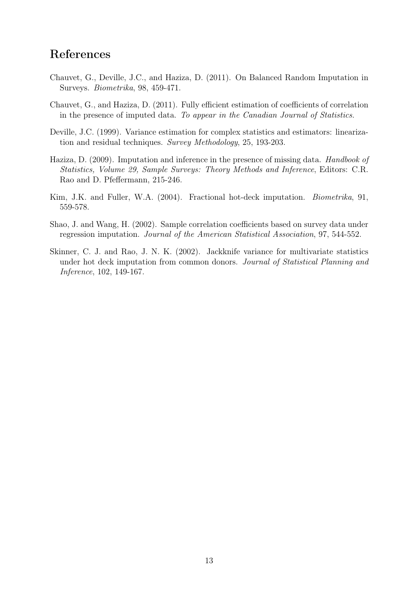## References

- Chauvet, G., Deville, J.C., and Haziza, D. (2011). On Balanced Random Imputation in Surveys. Biometrika, 98, 459-471.
- Chauvet, G., and Haziza, D. (2011). Fully efficient estimation of coefficients of correlation in the presence of imputed data. To appear in the Canadian Journal of Statistics.
- Deville, J.C. (1999). Variance estimation for complex statistics and estimators: linearization and residual techniques. Survey Methodology, 25, 193-203.
- Haziza, D. (2009). Imputation and inference in the presence of missing data. *Handbook of* Statistics, Volume 29, Sample Surveys: Theory Methods and Inference, Editors: C.R. Rao and D. Pfeffermann, 215-246.
- Kim, J.K. and Fuller, W.A. (2004). Fractional hot-deck imputation. Biometrika, 91, 559-578.
- Shao, J. and Wang, H. (2002). Sample correlation coefficients based on survey data under regression imputation. Journal of the American Statistical Association, 97, 544-552.
- Skinner, C. J. and Rao, J. N. K. (2002). Jackknife variance for multivariate statistics under hot deck imputation from common donors. Journal of Statistical Planning and Inference, 102, 149-167.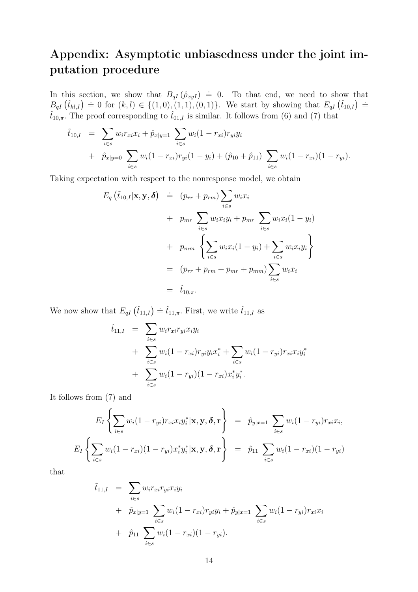## Appendix: Asymptotic unbiasedness under the joint imputation procedure

In this section, we show that  $B_{qI}(\hat{\rho}_{xyl}) = 0$ . To that end, we need to show that In this section, we show that  $B_{qI}(\rho_{xyI}) = 0$ . To that end, we need to show that  $B_{qI}(\hat{t}_{kl,I}) = 0$  for  $(k,l) \in \{(1,0),(1,1),(0,1)\}$ . We start by showing that  $E_{qI}(\hat{t}_{10,I}) = 0$  $\hat{t}_{10,\pi}$ . The proof corresponding to  $\hat{t}_{01,I}$  is similar. It follows from (6) and (7) that

$$
\tilde{t}_{10,I} = \sum_{i \in s} w_i r_{xi} x_i + \hat{p}_{x|y=1} \sum_{i \in s} w_i (1 - r_{xi}) r_{yi} y_i \n+ \hat{p}_{x|y=0} \sum_{i \in s} w_i (1 - r_{xi}) r_{yi} (1 - y_i) + (\hat{p}_{10} + \hat{p}_{11}) \sum_{i \in s} w_i (1 - r_{xi}) (1 - r_{yi}).
$$

Taking expectation with respect to the nonresponse model, we obtain

$$
E_q(\tilde{t}_{10,I}|\mathbf{x}, \mathbf{y}, \boldsymbol{\delta}) = (p_{rr} + p_{rm}) \sum_{i \in s} w_i x_i
$$
  
+  $p_{mr} \sum_{i \in s} w_i x_i y_i + p_{mr} \sum_{i \in s} w_i x_i (1 - y_i)$   
+  $p_{mm} \left\{ \sum_{i \in s} w_i x_i (1 - y_i) + \sum_{i \in s} w_i x_i y_i \right\}$   
=  $(p_{rr} + p_{rm} + p_{mr} + p_{mm}) \sum_{i \in s} w_i x_i$   
=  $\hat{t}_{10,\pi}.$ 

We now show that  $E_{qI}(\hat{t}_{11,I}) \doteq \hat{t}_{11,\pi}$ . First, we write  $\hat{t}_{11,I}$  as

$$
\hat{t}_{11,I} = \sum_{i \in s} w_i r_{xi} r_{yi} x_i y_i \n+ \sum_{i \in s} w_i (1 - r_{xi}) r_{yi} y_i x_i^* + \sum_{i \in s} w_i (1 - r_{yi}) r_{xi} x_i y_i^* \n+ \sum_{i \in s} w_i (1 - r_{yi}) (1 - r_{xi}) x_i^* y_i^*.
$$

It follows from (7) and

$$
E_I\left\{\sum_{i\in s} w_i(1-r_{yi})r_{xi}x_iy_i^*|\mathbf{x}, \mathbf{y}, \boldsymbol{\delta}, \mathbf{r}\right\} = \hat{p}_{y|x=1}\sum_{i\in s} w_i(1-r_{yi})r_{xi}x_i,
$$
  

$$
E_I\left\{\sum_{i\in s} w_i(1-r_{xi})(1-r_{yi})x_i^*y_i^*|\mathbf{x}, \mathbf{y}, \boldsymbol{\delta}, \mathbf{r}\right\} = \hat{p}_{11}\sum_{i\in s} w_i(1-r_{xi})(1-r_{yi})
$$

that

$$
\tilde{t}_{11,I} = \sum_{i \in s} w_i r_{xi} r_{yi} x_i y_i \n+ \hat{p}_{x|y=1} \sum_{i \in s} w_i (1 - r_{xi}) r_{yi} y_i + \hat{p}_{y|x=1} \sum_{i \in s} w_i (1 - r_{yi}) r_{xi} x_i \n+ \hat{p}_{11} \sum_{i \in s} w_i (1 - r_{xi}) (1 - r_{yi}).
$$